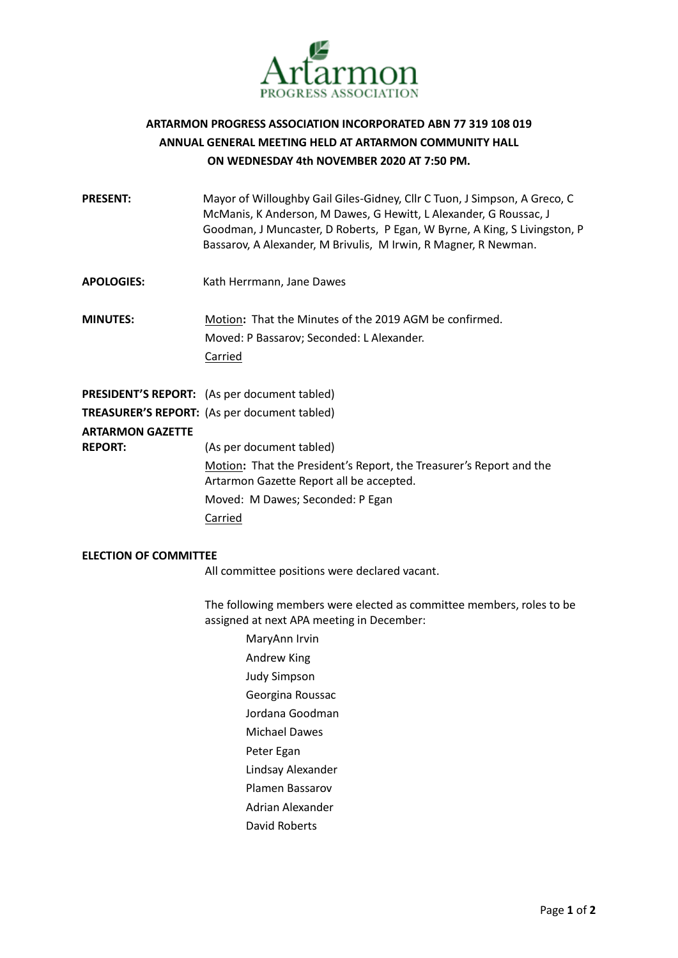

## **ARTARMON PROGRESS ASSOCIATION INCORPORATED ABN 77 319 108 019 ANNUAL GENERAL MEETING HELD AT ARTARMON COMMUNITY HALL ON WEDNESDAY 4th NOVEMBER 2020 AT 7:50 PM.**

| <b>PRESENT:</b>         | Mayor of Willoughby Gail Giles-Gidney, Cllr C Tuon, J Simpson, A Greco, C<br>McManis, K Anderson, M Dawes, G Hewitt, L Alexander, G Roussac, J<br>Goodman, J Muncaster, D Roberts, P Egan, W Byrne, A King, S Livingston, P<br>Bassarov, A Alexander, M Brivulis, M Irwin, R Magner, R Newman. |
|-------------------------|------------------------------------------------------------------------------------------------------------------------------------------------------------------------------------------------------------------------------------------------------------------------------------------------|
| <b>APOLOGIES:</b>       | Kath Herrmann, Jane Dawes                                                                                                                                                                                                                                                                      |
| <b>MINUTES:</b>         | Motion: That the Minutes of the 2019 AGM be confirmed.<br>Moved: P Bassarov; Seconded: L Alexander.<br>Carried                                                                                                                                                                                 |
|                         | <b>PRESIDENT'S REPORT:</b> (As per document tabled)                                                                                                                                                                                                                                            |
|                         | <b>TREASURER'S REPORT:</b> (As per document tabled)                                                                                                                                                                                                                                            |
| <b>ARTARMON GAZETTE</b> |                                                                                                                                                                                                                                                                                                |
| <b>REPORT:</b>          | (As per document tabled)                                                                                                                                                                                                                                                                       |
|                         | Motion: That the President's Report, the Treasurer's Report and the<br>Artarmon Gazette Report all be accepted.                                                                                                                                                                                |
|                         | Moved: M Dawes; Seconded: P Egan                                                                                                                                                                                                                                                               |
|                         | Carried                                                                                                                                                                                                                                                                                        |

## **ELECTION OF COMMITTEE**

All committee positions were declared vacant.

The following members were elected as committee members, roles to be assigned at next APA meeting in December:

> MaryAnn Irvin Andrew King Judy Simpson Georgina Roussac Jordana Goodman Michael Dawes Peter Egan Lindsay Alexander Plamen Bassarov Adrian Alexander